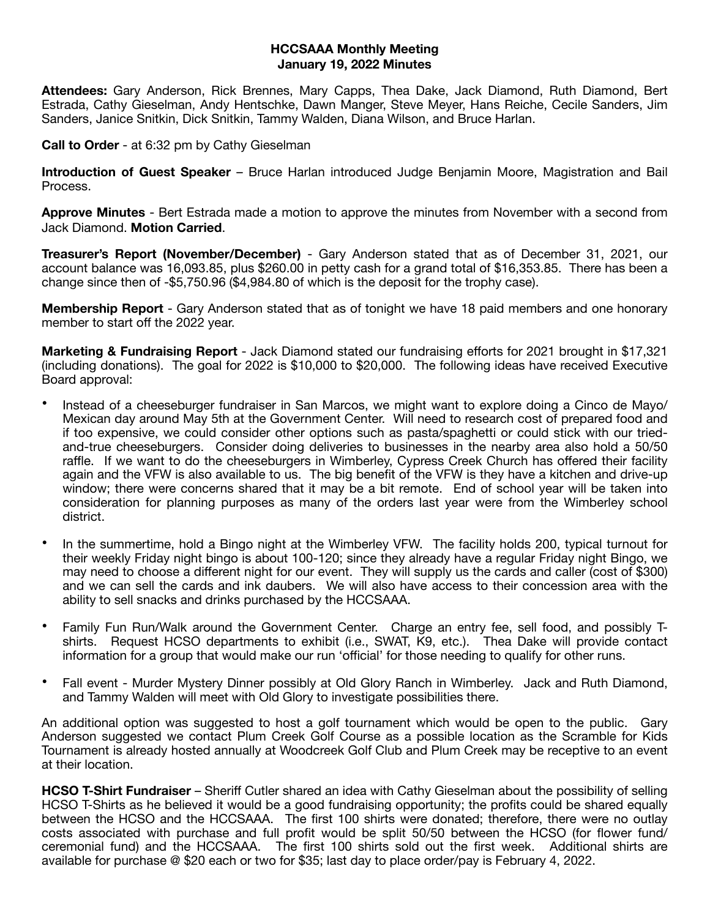## **HCCSAAA Monthly Meeting January 19, 2022 Minutes**

**Attendees:** Gary Anderson, Rick Brennes, Mary Capps, Thea Dake, Jack Diamond, Ruth Diamond, Bert Estrada, Cathy Gieselman, Andy Hentschke, Dawn Manger, Steve Meyer, Hans Reiche, Cecile Sanders, Jim Sanders, Janice Snitkin, Dick Snitkin, Tammy Walden, Diana Wilson, and Bruce Harlan.

**Call to Order** - at 6:32 pm by Cathy Gieselman

**Introduction of Guest Speaker** – Bruce Harlan introduced Judge Benjamin Moore, Magistration and Bail Process.

**Approve Minutes** - Bert Estrada made a motion to approve the minutes from November with a second from Jack Diamond. **Motion Carried**.

**Treasurer's Report (November/December)** - Gary Anderson stated that as of December 31, 2021, our account balance was 16,093.85, plus \$260.00 in petty cash for a grand total of \$16,353.85. There has been a change since then of -\$5,750.96 (\$4,984.80 of which is the deposit for the trophy case).

**Membership Report** - Gary Anderson stated that as of tonight we have 18 paid members and one honorary member to start off the 2022 year.

**Marketing & Fundraising Report** - Jack Diamond stated our fundraising efforts for 2021 brought in \$17,321 (including donations). The goal for 2022 is \$10,000 to \$20,000. The following ideas have received Executive Board approval:

- Instead of a cheeseburger fundraiser in San Marcos, we might want to explore doing a Cinco de Mayo/ Mexican day around May 5th at the Government Center. Will need to research cost of prepared food and if too expensive, we could consider other options such as pasta/spaghetti or could stick with our triedand-true cheeseburgers. Consider doing deliveries to businesses in the nearby area also hold a 50/50 raffle. If we want to do the cheeseburgers in Wimberley, Cypress Creek Church has offered their facility again and the VFW is also available to us. The big benefit of the VFW is they have a kitchen and drive-up window; there were concerns shared that it may be a bit remote. End of school year will be taken into consideration for planning purposes as many of the orders last year were from the Wimberley school district.
- In the summertime, hold a Bingo night at the Wimberley VFW. The facility holds 200, typical turnout for their weekly Friday night bingo is about 100-120; since they already have a regular Friday night Bingo, we may need to choose a different night for our event. They will supply us the cards and caller (cost of \$300) and we can sell the cards and ink daubers. We will also have access to their concession area with the ability to sell snacks and drinks purchased by the HCCSAAA.
- Family Fun Run/Walk around the Government Center. Charge an entry fee, sell food, and possibly Tshirts. Request HCSO departments to exhibit (i.e., SWAT, K9, etc.). Thea Dake will provide contact information for a group that would make our run 'official' for those needing to qualify for other runs.
- Fall event Murder Mystery Dinner possibly at Old Glory Ranch in Wimberley. Jack and Ruth Diamond, and Tammy Walden will meet with Old Glory to investigate possibilities there.

An additional option was suggested to host a golf tournament which would be open to the public. Gary Anderson suggested we contact Plum Creek Golf Course as a possible location as the Scramble for Kids Tournament is already hosted annually at Woodcreek Golf Club and Plum Creek may be receptive to an event at their location.

**HCSO T-Shirt Fundraiser** – Sheriff Cutler shared an idea with Cathy Gieselman about the possibility of selling HCSO T-Shirts as he believed it would be a good fundraising opportunity; the profits could be shared equally between the HCSO and the HCCSAAA. The first 100 shirts were donated; therefore, there were no outlay costs associated with purchase and full profit would be split 50/50 between the HCSO (for flower fund/ ceremonial fund) and the HCCSAAA. The first 100 shirts sold out the first week. Additional shirts are available for purchase @ \$20 each or two for \$35; last day to place order/pay is February 4, 2022.